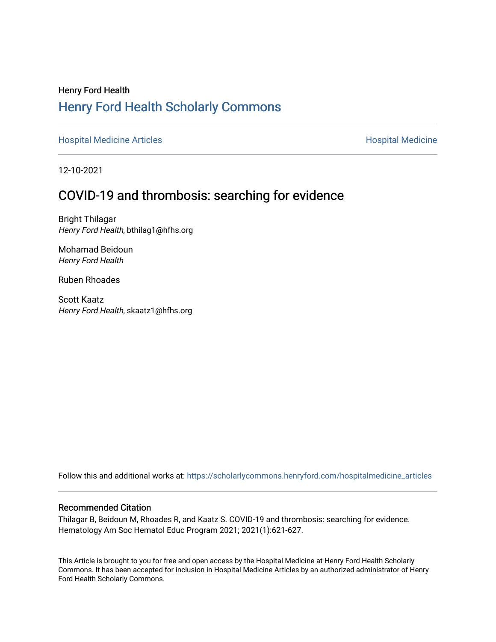# Henry Ford Health [Henry Ford Health Scholarly Commons](https://scholarlycommons.henryford.com/)

[Hospital Medicine Articles](https://scholarlycommons.henryford.com/hospitalmedicine_articles) **Hospital Medicine** 

12-10-2021

# COVID-19 and thrombosis: searching for evidence

Bright Thilagar Henry Ford Health, bthilag1@hfhs.org

Mohamad Beidoun Henry Ford Health

Ruben Rhoades

Scott Kaatz Henry Ford Health, skaatz1@hfhs.org

Follow this and additional works at: [https://scholarlycommons.henryford.com/hospitalmedicine\\_articles](https://scholarlycommons.henryford.com/hospitalmedicine_articles?utm_source=scholarlycommons.henryford.com%2Fhospitalmedicine_articles%2F63&utm_medium=PDF&utm_campaign=PDFCoverPages)

# Recommended Citation

Thilagar B, Beidoun M, Rhoades R, and Kaatz S. COVID-19 and thrombosis: searching for evidence. Hematology Am Soc Hematol Educ Program 2021; 2021(1):621-627.

This Article is brought to you for free and open access by the Hospital Medicine at Henry Ford Health Scholarly Commons. It has been accepted for inclusion in Hospital Medicine Articles by an authorized administrator of Henry Ford Health Scholarly Commons.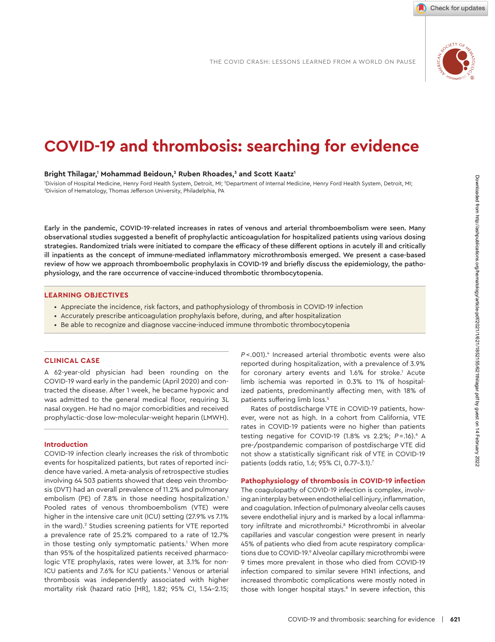

Check for updates

# **COVID-19 and thrombosis: searching for evidence**

#### Bright Thilagar,<sup>1</sup> Mohammad Beidoun,<sup>2</sup> Ruben Rhoades,<sup>3</sup> and Scott Kaatz<sup>1</sup>

'Division of Hospital Medicine, Henry Ford Health System, Detroit, MI; <sup>2</sup>Department of Internal Medicine, Henry Ford Health System, Detroit, MI;<br><sup>3</sup>Division of Hematology, Thomas Jefferson University, Philodelphia, PA <sup>3</sup>Division of Hematology, Thomas Jefferson University, Philadelphia, PA

Early in the pandemic, COVID-19-related increases in rates of venous and arterial thromboembolism were seen. Many observational studies suggested a benefit of prophylactic anticoagulation for hospitalized patients using various dosing strategies. Randomized trials were initiated to compare the efficacy of these different options in acutely ill and critically ill inpatients as the concept of immune-mediated inflammatory microthrombosis emerged. We present a case-based review of how we approach thromboembolic prophylaxis in COVID-19 and briefly discuss the epidemiology, the pathophysiology, and the rare occurrence of vaccine-induced thrombotic thrombocytopenia.

#### **LEARNING OBJECTIVES**

- Appreciate the incidence, risk factors, and pathophysiology of thrombosis in COVID-19 infection
- Accurately prescribe anticoagulation prophylaxis before, during, and after hospitalization
- Be able to recognize and diagnose vaccine-induced immune thrombotic thrombocytopenia

#### **CLINICAL CASE**

A 62-year-old physician had been rounding on the COVID-19 ward early in the pandemic (April 2020) and contracted the disease. After 1 week, he became hypoxic and was admitted to the general medical floor, requiring 3L nasal oxy gen. He had no major comorbidities and received prophylactic-dose low-molecular-weight heparin (LMWH).

#### **Introduction**

COVID-19 infection clearly increases the risk of thrombotic events for hospitalized patients, but rates of reported incidence have varied. A meta-analysis of retrospective studies involving 64 503 patients showed that deep vein thrombosis (DVT) had an overall prevalence of 11.2% and pulmonary embolism (PE) of 7.8% in those needing hospitalization.<sup>1</sup> Pooled rates of venous thromboembolism (VTE) were higher in the intensive care unit (ICU) setting (27.9% vs 7.1% in the ward).<sup>2</sup> Studies screening patients for VTE reported a prevalence rate of 25.2% compared to a rate of 12.7% in those testing only symptomatic patients.<sup>1</sup> When more than 95% of the hospitalized patients received pharmacologic VTE prophylaxis, rates were lower, at 3.1% for non-ICU patients and 7.6% for ICU patients.<sup>3</sup> Venous or arterial thrombosis was independently associated with higher mortality risk (hazard ratio [HR], 1.82; 95% CI, 1.54-2.15;

*P* < .001). 4 Increased arte rial throm botic events were also reported during hospitalization, with a prevalence of 3.9% for coronary artery events and 1.6% for stroke.<sup>1</sup> Acute limb ischemia was reported in 0.3% to 1% of hospitalized patients, predominantly affecting men, with 18% of patients suffering limb loss.<sup>5</sup>

Rates of postdischarge VTE in COVID-19 patients, however, were not as high. In a cohort from California, VTE rates in COVID-19 patients were no higher than patients testing negative for COVID-19 (1.8% vs 2.2%; *P*=.16).<sup>6</sup> A pre-/postpandemic comparison of postdischarge VTE did not show a statistically significant risk of VTE in COVID-19 patients (odds ratio, 1.6; 95% CI, 0.77-3.1).<sup>7</sup>

#### **Pathophysiology of thrombosis in COVID-19 infection**

The coagulopathy of COVID-19 infection is complex, involving an interplay between endothelial cell injury, inflammation, and coagulation. Infection of pulmonary alveolar cells causes severe endothelial injury and is marked by a local inflammatory infiltrate and microthrombi.<sup>8</sup> Microthrombi in alveolar capillaries and vascular congestion were present in nearly 45% of patients who died from acute respiratory complications due to COVID-19.<sup>9</sup> Alveolar capillary microthrombi were 9 times more prevalent in those who died from COVID-19 infection compared to similar severe H1N1 infections, and increased thrombotic complications were mostly noted in those with longer hospital stays.<sup>8</sup> In severe infection, this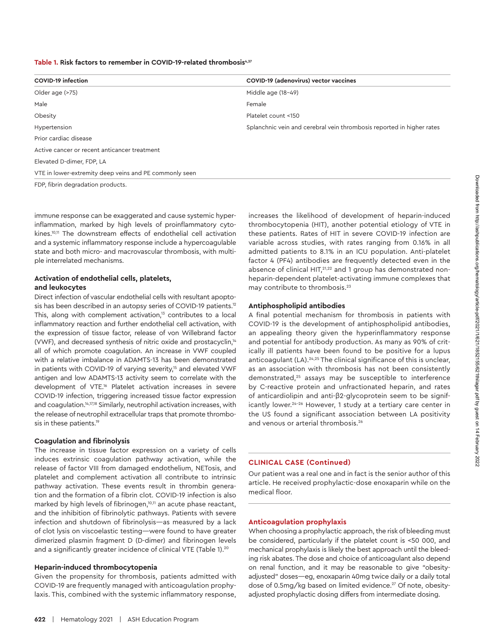| <b>COVID-19 infection</b>                              | COVID-19 (adenovirus) vector vaccines                                 |  |  |  |
|--------------------------------------------------------|-----------------------------------------------------------------------|--|--|--|
| Older age (>75)                                        | Middle age (18-49)                                                    |  |  |  |
| Male                                                   | Female                                                                |  |  |  |
| Obesity                                                | Platelet count <150                                                   |  |  |  |
| Hypertension                                           | Splanchnic vein and cerebral vein thrombosis reported in higher rates |  |  |  |
| Prior cardiac disease                                  |                                                                       |  |  |  |
| Active cancer or recent anticancer treatment           |                                                                       |  |  |  |
| Elevated D-dimer, FDP, LA                              |                                                                       |  |  |  |
| VTE in lower-extremity deep veins and PE commonly seen |                                                                       |  |  |  |

FDP, fibrin degradation products.

immune response can be exaggerated and cause systemic hyperinflammation, marked by high levels of proinflammatory cytokines.10,11 The downstream effects of endothelial cell activation and a systemic inflammatory response include a hypercoagulable state and both micro- and macrovascular thrombosis, with multiple interrelated mechanisms.

#### **Activation of endothelial cells, platelets, and leukocytes**

Direct infection of vascular endothelial cells with resultant apoptosis has been described in an autopsy series of COVID-19 patients.<sup>12</sup> This, along with complement activation.<sup>13</sup> contributes to a local inflammatory reaction and further endothelial cell activation, with the expression of tissue factor, release of von Willebrand factor (VWF), and decreased synthesis of nitric oxide and prostacyclin,<sup>14</sup> all of which promote coagulation. An increase in VWF coupled with a relative imbalance in ADAMTS-13 has been demonstrated in patients with COVID-19 of varying severity,<sup>15</sup> and elevated VWF antigen and low ADAMTS-13 activity seem to correlate with the development of VTE.16 Platelet activation increases in severe COVID-19 infection, triggering increased tissue factor expression and coagulation.<sup>14,17,18</sup> Similarly, neutrophil activation increases, with the release of neutrophil extracellular traps that promote thrombosis in these patients.<sup>19</sup>

#### **Coagulation and fibrinolysis**

The increase in tissue factor expression on a variety of cells induces extrinsic coagulation pathway activation, while the release of factor VIII from damaged endothelium, NETosis, and platelet and complement activation all contribute to intrinsic pathway activation. These events result in thrombin generation and the formation of a fibrin clot. COVID-19 infection is also marked by high levels of fibrinogen,<sup>10,11</sup> an acute phase reactant, and the inhibition of fibrinolytic pathways. Patients with severe infection and shutdown of fibrinolysis—as measured by a lack of clot lysis on viscoelastic testing—were found to have greater dimerized plasmin fragment D (D-dimer) and fibrinogen levels and a significantly greater incidence of clinical VTE (Table 1).<sup>20</sup>

#### **Heparin-induced thrombocytopenia**

Given the propensity for thrombosis, patients admitted with COVID-19 are frequently managed with anticoagulation prophylaxis. This, combined with the systemic inflammatory response, increases the likelihood of development of heparin-induced thrombocytopenia (HIT), another potential etiology of VTE in these patients. Rates of HIT in severe COVID-19 infection are variable across studies, with rates ranging from 0.16% in all admitted patients to 8.1% in an ICU population. Anti-platelet factor 4 (PF4) antibodies are frequently detected even in the absence of clinical HIT,<sup>21,22</sup> and 1 group has demonstrated nonheparin-dependent platelet-activating immune complexes that may contribute to thrombosis.<sup>23</sup>

#### **Antiphospholipid antibodies**

A final potential mechanism for thrombosis in patients with COVID-19 is the development of antiphospholipid antibodies, an appealing theory given the hyperinflammatory response and potential for antibody production. As many as 90% of critically ill patients have been found to be positive for a lupus anticoagulant (LA).24,25 The clinical significance of this is unclear, as an association with thrombosis has not been consistently demonstrated,<sup>25</sup> assays may be susceptible to interference by C-reactive protein and unfractionated heparin, and rates of anticardiolipin and anti-β2-glycoprotein seem to be significantly lower.24-26 However, 1 study at a tertiary care center in the US found a significant association between LA positivity and venous or arterial thrombosis.<sup>26</sup>

# **CLINICAL CASE (Continued)**

Our patient was a real one and in fact is the senior author of this article. He received prophylactic-dose enoxaparin while on the medical floor.

# **Anticoagulation prophylaxis**

When choosing a prophylactic approach, the risk of bleeding must be considered, particularly if the platelet count is <50 000, and mechanical prophylaxis is likely the best approach until the bleeding risk abates. The dose and choice of anticoagulant also depend on renal function, and it may be reasonable to give "obesityadjusted" doses—eg, enoxaparin 40mg twice daily or a daily total dose of 0.5mg/kg based on limited evidence.<sup>27</sup> Of note, obesityadjusted prophylactic dosing differs from intermediate dosing.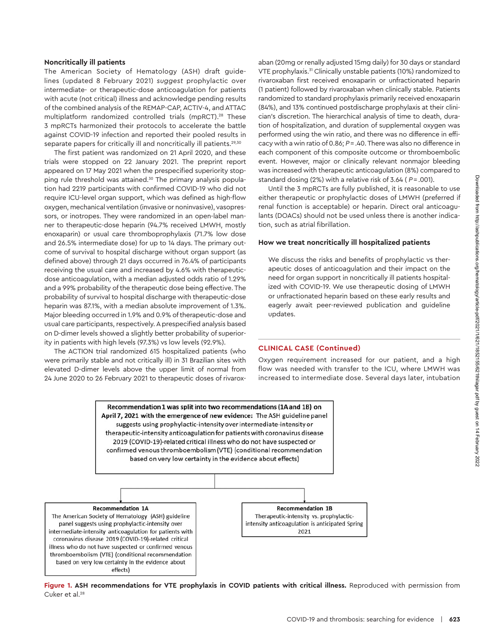#### **Noncritically ill patients**

The American Society of Hematology (ASH) draft guidelines (updated 8 February 2021) *suggest* prophylactic over intermediate- or therapeutic-dose anticoagulation for patients with acute (not critical) illness and acknowledge pending results of the combined analysis of the REMAP-CAP, ACTIV-4, and ATTAC multiplatform randomized controlled trials (mpRCT).28 These 3 mpRCTs harmonized their protocols to accelerate the battle against COVID-19 infection and reported their pooled results in separate papers for critically ill and noncritically ill patients.<sup>29,30</sup>

The first patient was randomized on 21 April 2020, and these trials were stopped on 22 January 2021. The preprint report appeared on 17 May 2021 when the prespecified superiority stopping rule threshold was attained.<sup>30</sup> The primary analysis population had 2219 participants with confirmed COVID-19 who did not require ICU-level organ support, which was defined as high-flow oxygen, mechanical ventilation (invasive or noninvasive), vasopressors, or inotropes. They were randomized in an open-label manner to therapeutic-dose heparin (94.7% received LMWH, mostly enoxaparin) or usual care thromboprophylaxis (71.7% low dose and 26.5% intermediate dose) for up to 14 days. The primary outcome of survival to hospital discharge without organ support (as defined above) through 21 days occurred in 76.4% of participants receiving the usual care and increased by 4.6% with therapeuticdose anticoagulation, with a median adjusted odds ratio of 1.29% and a 99% probability of the therapeutic dose being effective. The probability of survival to hospital discharge with therapeutic-dose heparin was 87.1%, with a median absolute improvement of 1.3%. Major bleeding occurred in 1.9% and 0.9% of therapeutic-dose and usual care participants, respectively. A prespecified analysis based on D-dimer levels showed a slightly better probability of superiority in patients with high levels (97.3%) vs low levels (92.9%).

The ACTION trial randomized 615 hospitalized patients (who were primarily stable and not critically ill) in 31 Brazilian sites with elevated D-dimer levels above the upper limit of normal from 24 June 2020 to 26 February 2021 to therapeutic doses of rivaroxaban (20mg or renally adjusted 15mg daily) for 30 days or standard VTE prophylaxis.<sup>31</sup> Clinically unstable patients (10%) randomized to rivaroxaban first received enoxaparin or unfractionated heparin (1 patient) followed by rivaroxaban when clinically stable. Patients randomized to standard prophylaxis primarily received enoxaparin (84%), and 13% continued postdischarge prophylaxis at their clinician's discretion. The hierarchical analysis of time to death, duration of hospitalization, and duration of supplemental oxygen was performed using the win ratio, and there was no difference in efficacy with a win ratio of 0.86; *P*= .40. There was also no difference in each component of this composite outcome or thromboembolic event. However, major or clinically relevant nonmajor bleeding was increased with therapeutic anticoagulation (8%) compared to standard dosing (2%) with a relative risk of 3.64 ( *P* = .001).

Until the 3 mpRCTs are fully published, it is reasonable to use either therapeutic or prophylactic doses of LMWH (preferred if renal function is acceptable) or heparin. Direct oral anticoagulants (DOACs) should not be used unless there is another indication, such as atrial fibrillation.

# **How we treat noncritically ill hospitalized patients**

We discuss the risks and benefits of prophylactic vs therapeutic doses of anticoagulation and their impact on the need for organ support in noncritically ill patients hospitalized with COVID-19. We use therapeutic dosing of LMWH or unfractionated heparin based on these early results and eagerly await peer-reviewed publication and guideline updates.

# **CLINICAL CASE (Continued)**

Oxygen requirement increased for our patient, and a high flow was needed with transfer to the ICU, where LMWH was increased to intermediate dose. Several days later, intubation

Recommendation 1 was split into two recommendations (1A and 1B) on April 7, 2021 with the emergence of new evidence: The ASH guideline panel suggests using prophylactic-intensity over intermediate-intensity or therapeutic-intensity anticoagulation for patients with coronavirus disease 2019 (COVID-19)-related critical illness who do not have suspected or confirmed venous thromboembolism (VTE) (conditional recommendation based on very low certainty in the evidence about effects)



Figure 1. ASH recommendations for VTE prophylaxis in COVID patients with critical illness. Reproduced with permission from Cuker et al.<sup>28</sup>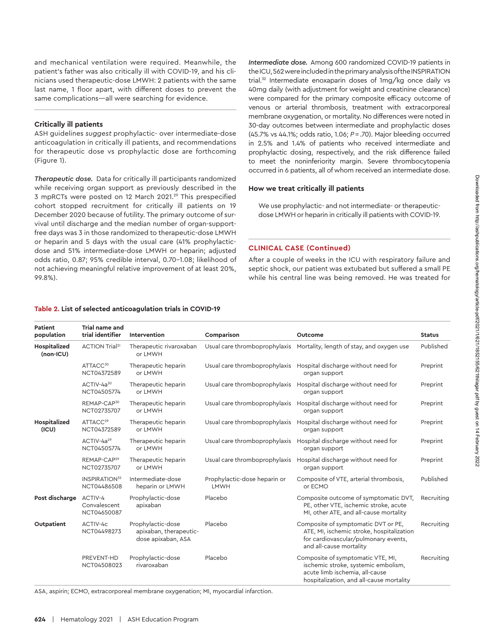and mechanical ventilation were required. Meanwhile, the patient's father was also critically ill with COVID-19, and his clinicians used therapeutic-dose LMWH: 2 patients with the same last name, 1 floor apart, with different doses to prevent the same complications—all were searching for evidence.

# **Critically ill patients**

ASH guidelines *suggest* prophylactic- over intermediate-dose anticoagulation in critically ill patients, and recommendations for therapeutic dose vs prophylactic dose are forthcoming (Figure 1).

*Therapeutic dose.* Data for critically ill participants randomized while receiving organ support as previously described in the 3 mpRCTs were posted on 12 March 2021.<sup>29</sup> This prespecified cohort stopped recruitment for critically ill patients on 19 December 2020 because of futility. The primary outcome of survival until discharge and the median number of organ-supportfree days was 3 in those randomized to therapeutic-dose LMWH or heparin and 5 days with the usual care (41% prophylacticdose and 51% intermediate-dose LMWH or heparin; adjusted odds ratio, 0.87; 95% credible interval, 0.70-1.08; likelihood of not achieving meaningful relative improvement of at least 20%, 99.8%).

# *Intermediate dose.* Among 600 randomized COVID-19 patients in the ICU, 562 were included in the primary analysis of the INSPIRATION trial.<sup>32</sup> Intermediate enoxaparin doses of 1mg/kg once daily vs 40mg daily (with adjustment for weight and creatinine clearance) were compared for the primary composite efficacy outcome of venous or arterial thrombosis, treatment with extracorporeal membrane oxygenation, or mortality. No differences were noted in 30-day outcomes between intermediate and prophylactic doses (45.7% vs 44.1%; odds ratio, 1.06; *P*=.70). Major bleeding occurred in 2.5% and 1.4% of patients who received intermediate and prophylactic dosing, respectively, and the risk difference failed to meet the noninferiority margin. Severe thrombocytopenia occurred in 6 patients, all of whom received an intermediate dose.

# **How we treat critically ill patients**

We use prophylactic- and not intermediate- or therapeuticdose LMWH or heparin in critically ill patients with COVID-19.

# **CLINICAL CASE (Continued)**

After a couple of weeks in the ICU with respiratory failure and septic shock, our patient was extubated but suffered a small PE while his central line was being removed. He was treated for

# **Table 2. List of selected anticoagulation trials in COVID-19**

| Patient<br>population       | <b>Trial name and</b><br>trial identifier       | Intervention                                                      | Comparison                           | Outcome                                                                                                                                                | <b>Status</b> |
|-----------------------------|-------------------------------------------------|-------------------------------------------------------------------|--------------------------------------|--------------------------------------------------------------------------------------------------------------------------------------------------------|---------------|
| Hospitalized<br>$(non-ICU)$ | ACTION Trial <sup>31</sup>                      | Therapeutic rivaroxaban<br>or LMWH                                | Usual care thromboprophylaxis        | Mortality, length of stay, and oxygen use                                                                                                              | Published     |
|                             | ATTACC <sup>30</sup><br>NCT04372589             | Therapeutic heparin<br>or LMWH                                    | Usual care thromboprophylaxis        | Hospital discharge without need for<br>organ support                                                                                                   | Preprint      |
|                             | ACTIV-4a <sup>30</sup><br>NCT04505774           | Therapeutic heparin<br>or LMWH                                    | Usual care thromboprophylaxis        | Hospital discharge without need for<br>organ support                                                                                                   | Preprint      |
|                             | REMAP-CAP <sup>30</sup><br>NCT02735707          | Therapeutic heparin<br>or LMWH                                    | Usual care thromboprophylaxis        | Hospital discharge without need for<br>organ support                                                                                                   | Preprint      |
| Hospitalized<br>(ICU)       | ATTACC <sup>29</sup><br>NCT04372589             | Therapeutic heparin<br>or LMWH                                    | Usual care thromboprophylaxis        | Hospital discharge without need for<br>organ support                                                                                                   | Preprint      |
|                             | ACTIV-4a <sup>29</sup><br>NCT04505774           | Therapeutic heparin<br>or LMWH                                    | Usual care thromboprophylaxis        | Hospital discharge without need for<br>organ support                                                                                                   | Preprint      |
|                             | REMAP-CAP <sup>29</sup><br>NCT02735707          | Therapeutic heparin<br>or LMWH                                    | Usual care thromboprophylaxis        | Hospital discharge without need for<br>organ support                                                                                                   | Preprint      |
|                             | <b>INSPIRATION</b> <sup>32</sup><br>NCT04486508 | Intermediate-dose<br>heparin or LMWH                              | Prophylactic-dose heparin or<br>LMWH | Composite of VTE, arterial thrombosis,<br>or ECMO                                                                                                      | Published     |
| Post discharge              | ACTIV-4<br>Convalescent<br>NCT04650087          | Prophylactic-dose<br>apixaban                                     | Placebo                              | Composite outcome of symptomatic DVT,<br>PE, other VTE, ischemic stroke, acute<br>MI, other ATE, and all-cause mortality                               | Recruiting    |
| Outpatient                  | ACTIV-4c<br>NCT04498273                         | Prophylactic-dose<br>apixaban, therapeutic-<br>dose apixaban, ASA | Placebo                              | Composite of symptomatic DVT or PE,<br>ATE, MI, ischemic stroke, hospitalization<br>for cardiovascular/pulmonary events,<br>and all-cause mortality    | Recruiting    |
|                             | PREVENT-HD<br>NCT04508023                       | Prophylactic-dose<br>rivaroxaban                                  | Placebo                              | Composite of symptomatic VTE, MI,<br>ischemic stroke, systemic embolism,<br>acute limb ischemia, all-cause<br>hospitalization, and all-cause mortality | Recruiting    |

ASA, aspirin; ECMO, extracorporeal membrane oxygenation; MI, myocardial infarction.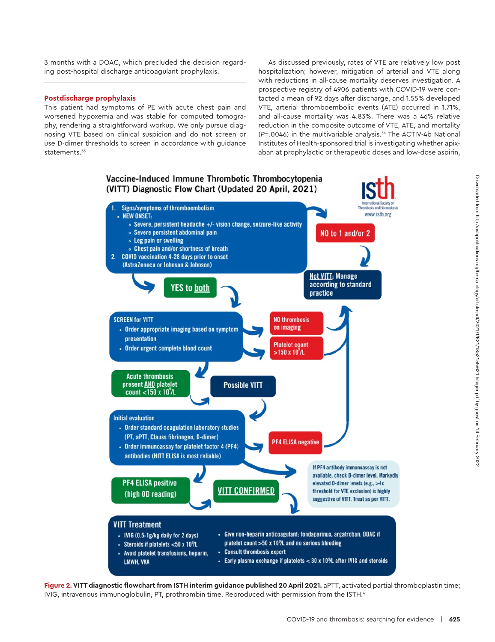3 months with a DOAC, which precluded the decision regarding post-hospital discharge anticoagulant prophylaxis.

### **Postdischarge prophylaxis**

This patient had symptoms of PE with acute chest pain and worsened hypoxemia and was stable for computed tomography, rendering a straightforward workup. We only pursue diagnosing VTE based on clinical suspicion and do not screen or use D-dimer thresholds to screen in accordance with guidance statements.<sup>33</sup>

As discussed previously, rates of VTE are relatively low post hospitalization; however, mitigation of arterial and VTE along with reductions in all-cause mortality deserves investigation. A prospective registry of 4906 patients with COVID-19 were contacted a mean of 92 days after discharge, and 1.55% developed VTE, arterial thromboembolic events (ATE) occurred in 1.71%, and all-cause mortality was 4.83%. There was a 46% relative reduction in the composite outcome of VTE, ATE, and mortality (*P*=.0046) in the multivariable analysis.34 The ACTIV-4b National Institutes of Health-sponsored trial is investigating whether apixaban at prophylactic or therapeutic doses and low-dose aspirin,



Figure 2. VITT diagnostic flowchart from ISTH interim guidance published 20 April 2021. aPTT, activated partial thromboplastin time; IVIG, intravenous immunoglobulin, PT, prothrombin time. Reproduced with permission from the ISTH.41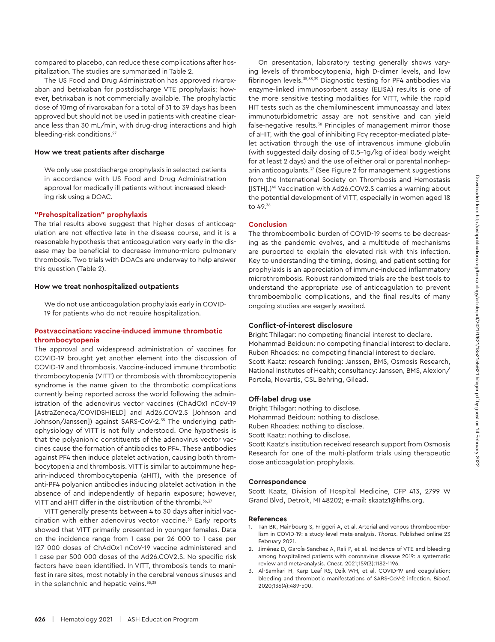compared to placebo, can reduce these complications after hospitalization. The studies are summarized in Table 2.

The US Food and Drug Administration has approved rivaroxaban and betrixaban for postdischarge VTE prophylaxis; however, betrixaban is not commercially available. The prophylactic dose of 10mg of rivaroxaban for a total of 31 to 39 days has been approved but should not be used in patients with creatine clearance less than 30 mL/min, with drug-drug interactions and high bleeding-risk conditions.<sup>27</sup>

#### **How we treat patients after discharge**

We only use postdischarge prophylaxis in selected patients in accordance with US Food and Drug Administration approval for medically ill patients without increased bleeding risk using a DOAC.

#### **"Prehospitalization" prophylaxis**

The trial results above suggest that higher doses of anticoagulation are not effective late in the disease course, and it is a reasonable hypothesis that anticoagulation very early in the disease may be beneficial to decrease immuno-micro pulmonary thrombosis. Two trials with DOACs are underway to help answer this question (Table 2).

#### **How we treat nonhospitalized outpatients**

We do not use anticoagulation prophylaxis early in COVID-19 for patients who do not require hospitalization.

#### **Postvaccination: vaccine-induced immune thrombotic thrombocytopenia**

The approval and widespread administration of vaccines for COVID-19 brought yet another element into the discussion of COVID-19 and thrombosis. Vaccine-induced immune thrombotic thrombocytopenia (VITT) or thrombosis with thrombocytopenia syndrome is the name given to the thrombotic complications currently being reported across the world following the administration of the adenovirus vector vaccines (ChAdOx1 nCoV-19 [AstraZeneca/COVIDSHIELD] and Ad26.COV2.S [Johnson and Johnson/Janssen]) against SARS-CoV-2.<sup>35</sup> The underlying pathophysiology of VITT is not fully understood. One hypothesis is that the polyanionic constituents of the adenovirus vector vaccines cause the formation of antibodies to PF4. These antibodies against PF4 then induce platelet activation, causing both thrombocytopenia and thrombosis. VITT is similar to autoimmune heparin-induced thrombocytopenia (aHIT), with the presence of anti-PF4 polyanion antibodies inducing platelet activation in the absence of and independently of heparin exposure; however, VITT and aHIT differ in the distribution of the thrombi.<sup>36,37</sup>

VITT generally presents between 4 to 30 days after initial vaccination with either adenovirus vector vaccine.35 Early reports showed that VITT primarily presented in younger females. Data on the incidence range from 1 case per 26 000 to 1 case per 127 000 doses of ChAdOx1 nCoV-19 vaccine administered and 1 case per 500 000 doses of the Ad26.COV2.S. No specific risk factors have been identified. In VITT, thrombosis tends to manifest in rare sites, most notably in the cerebral venous sinuses and in the splanchnic and hepatic veins.<sup>35,38</sup>

On presentation, laboratory testing generally shows varying levels of thrombocytopenia, high D-dimer levels, and low fibrinogen levels.35,38,39 Diagnostic testing for PF4 antibodies via enzyme-linked immunosorbent assay (ELISA) results is one of the more sensitive testing modalities for VITT, while the rapid HIT tests such as the chemiluminescent immunoassay and latex immunoturbidometric assay are not sensitive and can yield false-negative results.<sup>38</sup> Principles of management mirror those of aHIT, with the goal of inhibiting Fcγ receptor-mediated platelet activation through the use of intravenous immune globulin (with suggested daily dosing of 0.5-1g/kg of ideal body weight for at least 2 days) and the use of either oral or parental nonheparin anticoagulants.<sup>37</sup> (See Figure 2 for management suggestions from the International Society on Thrombosis and Hemostasis [ISTH].)<sup>40</sup> Vaccination with Ad26.COV2.S carries a warning about the potential development of VITT, especially in women aged 18 to 49.36

#### **Conclusion**

The thromboembolic burden of COVID-19 seems to be decreasing as the pandemic evolves, and a multitude of mechanisms are purported to explain the elevated risk with this infection. Key to understanding the timing, dosing, and patient setting for prophylaxis is an appreciation of immune-induced inflammatory microthrombosis. Robust randomized trials are the best tools to understand the appropriate use of anticoagulation to prevent thromboembolic complications, and the final results of many ongoing studies are eagerly awaited.

#### **Conflict-of-interest disclosure**

Bright Thilagar: no competing financial interest to declare. Mohammad Beidoun: no competing financial interest to declare. Ruben Rhoades: no competing financial interest to declare. Scott Kaatz: research funding: Janssen, BMS, Osmosis Research, National Institutes of Health; consultancy: Janssen, BMS, Alexion/ Portola, Novartis, CSL Behring, Gilead.

#### **Off-label drug use**

Bright Thilagar: nothing to disclose. Mohammad Beidoun: nothing to disclose. Ruben Rhoades: nothing to disclose. Scott Kaatz: nothing to disclose. Scott Kaatz's institution received research support from Osmosis Research for one of the multi-platform trials using therapeutic

dose anticoagulation prophylaxis.

#### **Correspondence**

Scott Kaatz, Division of Hospital Medicine, CFP 413, 2799 W Grand Blvd, Detroit, MI 48202; e-mail: [skaatz1@hfhs.org](mailto:skaatz1@hfhs.org).

#### **References**

- 1. Tan BK, Mainbourg S, Friggeri A, et al. Arterial and venous thromboembolism in COVID-19: a study-level meta-analysis. *Thorax*. Published online 23 February 2021.
- 2. Jiménez D, García-Sanchez A, Rali P, et al. Incidence of VTE and bleeding among hospitalized patients with coronavirus disease 2019: a systematic review and meta-analysis. *Chest*. 2021;159(3):1182-1196.
- 3. Al-Samkari H, Karp Leaf RS, Dzik WH, et al. COVID-19 and coagulation: bleeding and thrombotic manifestations of SARS-CoV-2 infection. *Blood*. 2020;136(4):489-500.